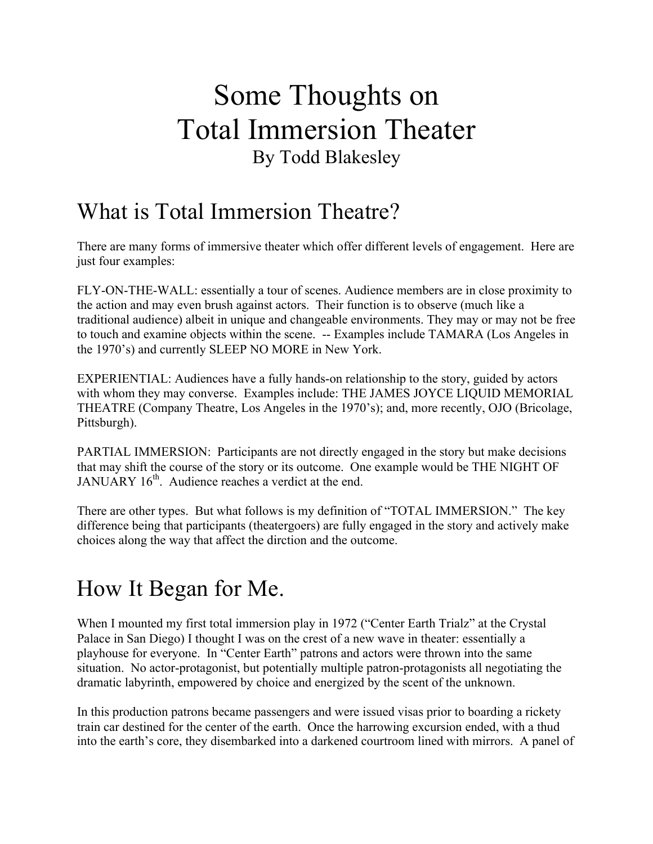# Some Thoughts on Total Immersion Theater By Todd Blakesley

### What is Total Immersion Theatre?

There are many forms of immersive theater which offer different levels of engagement. Here are just four examples:

FLY-ON-THE-WALL: essentially a tour of scenes. Audience members are in close proximity to the action and may even brush against actors. Their function is to observe (much like a traditional audience) albeit in unique and changeable environments. They may or may not be free to touch and examine objects within the scene. -- Examples include TAMARA (Los Angeles in the 1970's) and currently SLEEP NO MORE in New York.

EXPERIENTIAL: Audiences have a fully hands-on relationship to the story, guided by actors with whom they may converse. Examples include: THE JAMES JOYCE LIQUID MEMORIAL THEATRE (Company Theatre, Los Angeles in the 1970's); and, more recently, OJO (Bricolage, Pittsburgh).

PARTIAL IMMERSION: Participants are not directly engaged in the story but make decisions that may shift the course of the story or its outcome. One example would be THE NIGHT OF JANUARY 16<sup>th</sup>. Audience reaches a verdict at the end.

There are other types. But what follows is my definition of "TOTAL IMMERSION." The key difference being that participants (theatergoers) are fully engaged in the story and actively make choices along the way that affect the dirction and the outcome.

## How It Began for Me.

When I mounted my first total immersion play in 1972 ("Center Earth Trialz" at the Crystal Palace in San Diego) I thought I was on the crest of a new wave in theater: essentially a playhouse for everyone. In "Center Earth" patrons and actors were thrown into the same situation. No actor-protagonist, but potentially multiple patron-protagonists all negotiating the dramatic labyrinth, empowered by choice and energized by the scent of the unknown.

In this production patrons became passengers and were issued visas prior to boarding a rickety train car destined for the center of the earth. Once the harrowing excursion ended, with a thud into the earth's core, they disembarked into a darkened courtroom lined with mirrors. A panel of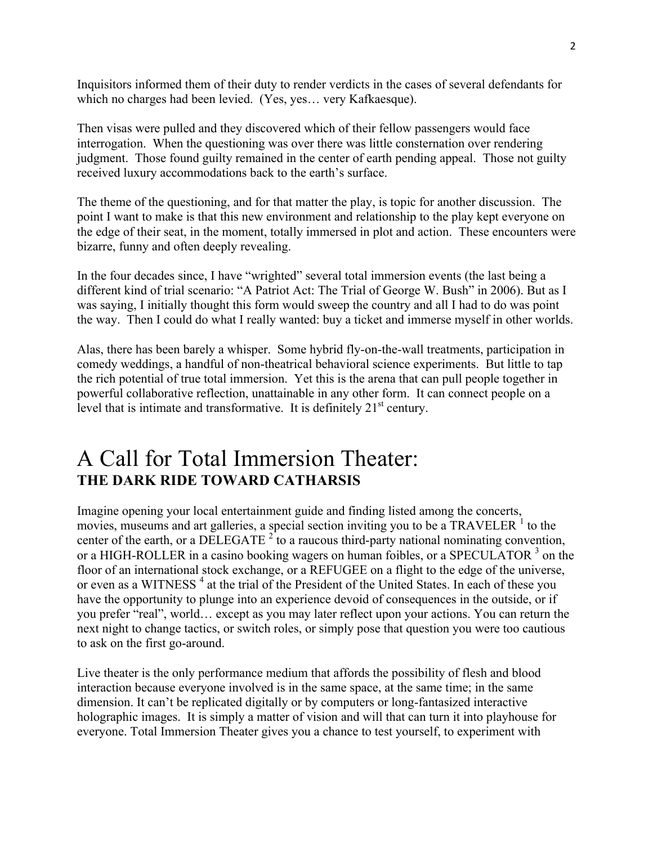Inquisitors informed them of their duty to render verdicts in the cases of several defendants for which no charges had been levied. (Yes, yes… very Kafkaesque).

Then visas were pulled and they discovered which of their fellow passengers would face interrogation. When the questioning was over there was little consternation over rendering judgment. Those found guilty remained in the center of earth pending appeal. Those not guilty received luxury accommodations back to the earth's surface.

The theme of the questioning, and for that matter the play, is topic for another discussion. The point I want to make is that this new environment and relationship to the play kept everyone on the edge of their seat, in the moment, totally immersed in plot and action. These encounters were bizarre, funny and often deeply revealing.

In the four decades since, I have "wrighted" several total immersion events (the last being a different kind of trial scenario: "A Patriot Act: The Trial of George W. Bush" in 2006). But as I was saying, I initially thought this form would sweep the country and all I had to do was point the way. Then I could do what I really wanted: buy a ticket and immerse myself in other worlds.

Alas, there has been barely a whisper. Some hybrid fly-on-the-wall treatments, participation in comedy weddings, a handful of non-theatrical behavioral science experiments. But little to tap the rich potential of true total immersion. Yet this is the arena that can pull people together in powerful collaborative reflection, unattainable in any other form. It can connect people on a level that is intimate and transformative. It is definitely  $21<sup>st</sup>$  century.

### A Call for Total Immersion Theater: **THE DARK RIDE TOWARD CATHARSIS**

Imagine opening your local entertainment guide and finding listed among the concerts, movies, museums and art galleries, a special section inviting you to be a TRAVELER  $<sup>1</sup>$  to the</sup> center of the earth, or a DELEGATE  $2^2$  to a raucous third-party national nominating convention, or a HIGH-ROLLER in a casino booking wagers on human foibles, or a SPECULATOR <sup>3</sup> on the floor of an international stock exchange, or a REFUGEE on a flight to the edge of the universe, or even as a WITNESS<sup>4</sup> at the trial of the President of the United States. In each of these you have the opportunity to plunge into an experience devoid of consequences in the outside, or if you prefer "real", world… except as you may later reflect upon your actions. You can return the next night to change tactics, or switch roles, or simply pose that question you were too cautious to ask on the first go-around.

Live theater is the only performance medium that affords the possibility of flesh and blood interaction because everyone involved is in the same space, at the same time; in the same dimension. It can't be replicated digitally or by computers or long-fantasized interactive holographic images. It is simply a matter of vision and will that can turn it into playhouse for everyone. Total Immersion Theater gives you a chance to test yourself, to experiment with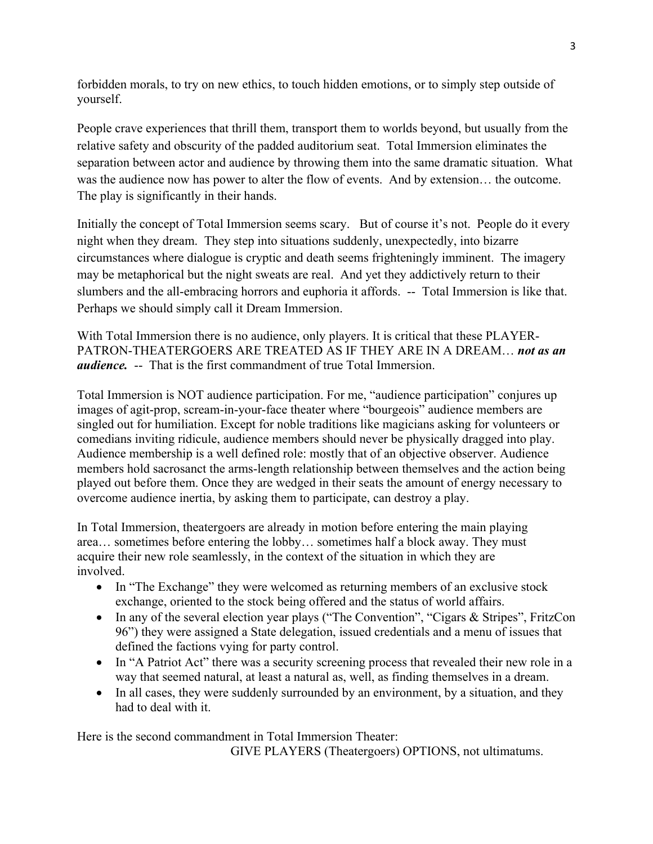forbidden morals, to try on new ethics, to touch hidden emotions, or to simply step outside of yourself.

People crave experiences that thrill them, transport them to worlds beyond, but usually from the relative safety and obscurity of the padded auditorium seat. Total Immersion eliminates the separation between actor and audience by throwing them into the same dramatic situation. What was the audience now has power to alter the flow of events. And by extension… the outcome. The play is significantly in their hands.

Initially the concept of Total Immersion seems scary. But of course it's not. People do it every night when they dream. They step into situations suddenly, unexpectedly, into bizarre circumstances where dialogue is cryptic and death seems frighteningly imminent. The imagery may be metaphorical but the night sweats are real. And yet they addictively return to their slumbers and the all-embracing horrors and euphoria it affords. -- Total Immersion is like that. Perhaps we should simply call it Dream Immersion.

With Total Immersion there is no audience, only players. It is critical that these PLAYER-PATRON-THEATERGOERS ARE TREATED AS IF THEY ARE IN A DREAM… *not as an audience.* -- That is the first commandment of true Total Immersion.

Total Immersion is NOT audience participation. For me, "audience participation" conjures up images of agit-prop, scream-in-your-face theater where "bourgeois" audience members are singled out for humiliation. Except for noble traditions like magicians asking for volunteers or comedians inviting ridicule, audience members should never be physically dragged into play. Audience membership is a well defined role: mostly that of an objective observer. Audience members hold sacrosanct the arms-length relationship between themselves and the action being played out before them. Once they are wedged in their seats the amount of energy necessary to overcome audience inertia, by asking them to participate, can destroy a play.

In Total Immersion, theatergoers are already in motion before entering the main playing area… sometimes before entering the lobby… sometimes half a block away. They must acquire their new role seamlessly, in the context of the situation in which they are involved.

- In "The Exchange" they were welcomed as returning members of an exclusive stock exchange, oriented to the stock being offered and the status of world affairs.
- In any of the several election year plays ("The Convention", "Cigars & Stripes", FritzCon 96") they were assigned a State delegation, issued credentials and a menu of issues that defined the factions vying for party control.
- In "A Patriot Act" there was a security screening process that revealed their new role in a way that seemed natural, at least a natural as, well, as finding themselves in a dream.
- In all cases, they were suddenly surrounded by an environment, by a situation, and they had to deal with it.

Here is the second commandment in Total Immersion Theater: GIVE PLAYERS (Theatergoers) OPTIONS, not ultimatums.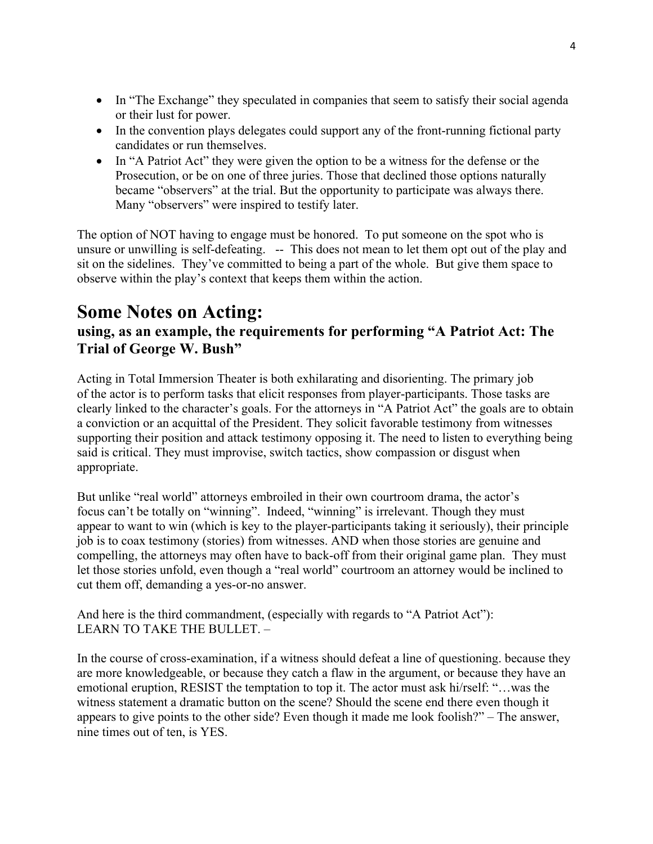- In "The Exchange" they speculated in companies that seem to satisfy their social agenda or their lust for power.
- In the convention plays delegates could support any of the front-running fictional party candidates or run themselves.
- In "A Patriot Act" they were given the option to be a witness for the defense or the Prosecution, or be on one of three juries. Those that declined those options naturally became "observers" at the trial. But the opportunity to participate was always there. Many "observers" were inspired to testify later.

The option of NOT having to engage must be honored. To put someone on the spot who is unsure or unwilling is self-defeating. -- This does not mean to let them opt out of the play and sit on the sidelines. They've committed to being a part of the whole. But give them space to observe within the play's context that keeps them within the action.

### **Some Notes on Acting:**

#### **using, as an example, the requirements for performing "A Patriot Act: The Trial of George W. Bush"**

Acting in Total Immersion Theater is both exhilarating and disorienting. The primary job of the actor is to perform tasks that elicit responses from player-participants. Those tasks are clearly linked to the character's goals. For the attorneys in "A Patriot Act" the goals are to obtain a conviction or an acquittal of the President. They solicit favorable testimony from witnesses supporting their position and attack testimony opposing it. The need to listen to everything being said is critical. They must improvise, switch tactics, show compassion or disgust when appropriate.

But unlike "real world" attorneys embroiled in their own courtroom drama, the actor's focus can't be totally on "winning". Indeed, "winning" is irrelevant. Though they must appear to want to win (which is key to the player-participants taking it seriously), their principle job is to coax testimony (stories) from witnesses. AND when those stories are genuine and compelling, the attorneys may often have to back-off from their original game plan. They must let those stories unfold, even though a "real world" courtroom an attorney would be inclined to cut them off, demanding a yes-or-no answer.

And here is the third commandment, (especially with regards to "A Patriot Act"): LEARN TO TAKE THE BULLET. –

In the course of cross-examination, if a witness should defeat a line of questioning. because they are more knowledgeable, or because they catch a flaw in the argument, or because they have an emotional eruption, RESIST the temptation to top it. The actor must ask hi/rself: "…was the witness statement a dramatic button on the scene? Should the scene end there even though it appears to give points to the other side? Even though it made me look foolish?" – The answer, nine times out of ten, is YES.